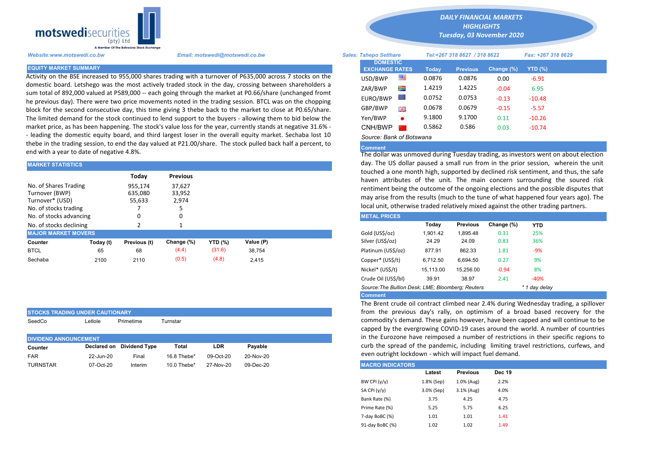

STOCKS TRADING UNDER CAUTIONARY

Activity on the BSE increased to 955,000 shares trading with a turnover of P635,000 across 7 stocks on the domestic board. Letshego was the most actively traded stock in the day, crossing between shareholders a sum total of 892,000 valued at P589,000 -- each going through the market at P0.66/share (unchanged fromt he previous day). There were two price movements noted in the trading session. BTCL was on the chopping block for the second consecutive day, this time giving 3 thebe back to the market to close at P0.65/share. The limited demand for the stock continued to lend support to the buyers - allowing them to bid below the market price, as has been happening. The stock's value loss for the year, currently stands at negative 31.6% - - leading the domestic equity board, and third largest loser in the overall equity market. Sechaba lost 10 thebe in the trading session, to end the day valued at P21.00/share. The stock pulled back half a percent, to end with a year to date of negative 4.8%.

| <b>MARKET STATISTICS</b>                                                            |           |                              |                           | day. The US dollar paused a small run from in the prior session, v |           |  |                                                                                                                                                                                                                     |          |                 |            |            |  |  |  |
|-------------------------------------------------------------------------------------|-----------|------------------------------|---------------------------|--------------------------------------------------------------------|-----------|--|---------------------------------------------------------------------------------------------------------------------------------------------------------------------------------------------------------------------|----------|-----------------|------------|------------|--|--|--|
|                                                                                     |           | Today                        | <b>Previous</b>           |                                                                    |           |  | touched a one month high, supported by declined risk sentiment, an<br>haven attributes of the unit. The main concern surrounding                                                                                    |          |                 |            |            |  |  |  |
| No. of Shares Trading<br>Turnover (BWP)<br>Turnover* (USD)<br>No. of stocks trading |           | 955,174<br>635,080<br>55,633 | 37,627<br>33,952<br>2,974 |                                                                    |           |  | rentiment being the outcome of the ongoing elections and the possi<br>may arise from the results (much to the tune of what happened four<br>local unit, otherwise traded relatively mixed against the other trading |          |                 |            |            |  |  |  |
| No. of stocks advancing                                                             |           |                              |                           |                                                                    |           |  | <b>METAL PRICES</b>                                                                                                                                                                                                 |          |                 |            |            |  |  |  |
| No. of stocks declining                                                             |           |                              |                           |                                                                    |           |  |                                                                                                                                                                                                                     | Today    | <b>Previous</b> | Change (%) | <b>YTD</b> |  |  |  |
| <b>MAJOR MARKET MOVERS</b>                                                          |           |                              |                           |                                                                    |           |  | Gold (US\$/oz)                                                                                                                                                                                                      | 1.901.42 | 1.895.48        | 0.31       | 25%        |  |  |  |
| Counter                                                                             | Today (t) | Previous (t)                 | Change (%)                | <b>YTD (%)</b>                                                     | Value (P) |  | Silver (US\$/oz)                                                                                                                                                                                                    | 24.29    | 24.09           | 0.83       | 36%        |  |  |  |
| <b>BTCL</b>                                                                         | 65        | 68                           | (4.4)                     | (31.6)                                                             | 38,754    |  | Platinum (US\$/oz)                                                                                                                                                                                                  | 877.91   | 862.33          | 1.81       | $-9%$      |  |  |  |
| Sechaba                                                                             | 2100      | 2110                         | (0.5)                     | (4.8)                                                              | 2,415     |  | Copper* (US\$/t)                                                                                                                                                                                                    | 6,712.50 | 6.694.50        | 0.27       | 9%         |  |  |  |

| SeedCo                       | _etlole   | Primetime                 | Turnstar    |           |           | commodity's dema<br>capped by the ever |
|------------------------------|-----------|---------------------------|-------------|-----------|-----------|----------------------------------------|
| <b>DIVIDEND ANNOUNCEMENT</b> |           |                           |             |           |           | in the Eurozone ha                     |
| Counter                      |           | Declared on Dividend Type | Total       | LDR       | Payable   | curb the spread of                     |
| <b>FAR</b>                   | 22-Jun-20 | Final                     | 16.8 Thebe* | 09-Oct-20 | 20-Nov-20 | even outright lockd                    |
| <b>TURNSTAR</b>              | 07-Oct-20 | Interim                   | 10.0 Thebe* | 27-Nov-20 | 09-Dec-20 | <b>MACRO INDICATORS</b>                |

*DAILY FINANCIAL MARKETS HIGHLIGHTS*

*Tuesday, 03 November 2020* 

| Website:www.motswedi.co.bw   | Email: motswedi@motswedi.co.bw                                                                                 | <b>Sales: Tshepo Setlhare</b> |           | Tel:+267 318 8627 / 318 8622 |                 |            | Fax: +267 318 8629 |  |
|------------------------------|----------------------------------------------------------------------------------------------------------------|-------------------------------|-----------|------------------------------|-----------------|------------|--------------------|--|
| <b>EQUITY MARKET SUMMARY</b> |                                                                                                                | <b>DOMESTIC</b>               |           |                              |                 |            |                    |  |
|                              |                                                                                                                | <b>EXCHANGE RATES</b>         |           | Today                        | <b>Previous</b> | Change (%) | <b>YTD (%)</b>     |  |
|                              | Activity on the BSE increased to 955,000 shares trading with a turnover of P635,000 across 7 stocks on the     | USD/BWP                       | ≝         | 0.0876                       | 0.0876          | 0.00       | $-6.91$            |  |
|                              | domestic board. Letshego was the most actively traded stock in the day, crossing between shareholders a        | ZAR/BWP                       | Ň         | 1.4219                       | 1.4225          | $-0.04$    | 6.95               |  |
|                              | um total of 892,000 valued at P589,000 -- each going through the market at P0.66/share (unchanged fromt        |                               |           |                              |                 |            |                    |  |
|                              | e previous day). There were two price movements noted in the trading session. BTCL was on the chopping         | EURO/BWP                      | LO I      | 0.0752                       | 0.0753          | $-0.13$    | $-10.48$           |  |
|                              |                                                                                                                |                               |           |                              |                 |            |                    |  |
|                              | block for the second consecutive day, this time giving 3 thebe back to the market to close at P0.65/share.     | GBP/BWP                       | 開開        | 0.0678                       | 0.0679          | $-0.15$    | $-5.57$            |  |
|                              | The limited demand for the stock continued to lend support to the buyers - allowing them to bid below the      | Yen/BWP                       | $\bullet$ | 9.1800                       | 9.1700          | 0.11       | $-10.26$           |  |
|                              | market price, as has been happening. The stock's value loss for the year, currently stands at negative 31.6% - | CNH/BWP                       |           | 0.5862                       | 0.586           | 0.03       | $-10.74$           |  |
|                              | leading the domestic equity board, and third largest loser in the overall equity market. Sechaba lost 10       |                               |           |                              |                 |            |                    |  |
|                              |                                                                                                                | Source: Bank of Botswana      |           |                              |                 |            |                    |  |

## **Comment**

The dollar was unmoved during Tuesday trading, as investors went on about election day. The US dollar paused a small run from in the prior session, wherein the unit touched a one month high, supported by declined risk sentiment, and thus, the safe haven attributes of the unit. The main concern surrounding the soured risk rentiment being the outcome of the ongoing elections and the possible disputes that may arise from the results (much to the tune of what happened four years ago). The local unit, otherwise traded relatively mixed against the other trading partners.

| <b>METAL PRICES</b>                                                |           |                 |            |            |  |  |  |  |  |
|--------------------------------------------------------------------|-----------|-----------------|------------|------------|--|--|--|--|--|
|                                                                    | Today     | <b>Previous</b> | Change (%) | <b>YTD</b> |  |  |  |  |  |
| Gold (US\$/oz)                                                     | 1,901.42  | 1.895.48        | 0.31       | 25%        |  |  |  |  |  |
| Silver (US\$/oz)                                                   | 24.29     | 24.09           | 0.83       | 36%        |  |  |  |  |  |
| Platinum (US\$/oz)                                                 | 877.91    | 862.33          | 1.81       | $-9%$      |  |  |  |  |  |
| Copper* (US\$/t)                                                   | 6.712.50  | 6.694.50        | 0.27       | 9%         |  |  |  |  |  |
| Nickel* (US\$/t)                                                   | 15,113.00 | 15,256.00       | $-0.94$    | 8%         |  |  |  |  |  |
| Crude Oil (US\$/bl)                                                | 39.91     | 38.97           | 2.41       | $-40%$     |  |  |  |  |  |
| Source: The Bullion Desk: LME; Bloomberg: Reuters<br>* 1 day delay |           |                 |            |            |  |  |  |  |  |
| <b>Comment</b>                                                     |           |                 |            |            |  |  |  |  |  |

The Brent crude oil contract climbed near 2.4% during Wednesday trading, a spillover from the previous day's rally, on optimism of a broad based recovery for the commodity's demand. These gains however, have been capped and will continue to be capped by the evergrowing COVID-19 cases around the world. A number of countries in the Eurozone have reimposed a number of restrictions in their specific regions to curb the spread of the pandemic, including limiting travel restrictions, curfews, and even outright lockdown - which will impact fuel demand.

| <b>MACRO INDICATORS</b> |            |                 |               |
|-------------------------|------------|-----------------|---------------|
|                         | Latest     | <b>Previous</b> | <b>Dec 19</b> |
| BW CPI $(y/y)$          | 1.8% (Sep) | 1.0% (Aug)      | 2.2%          |
| SA CPI (y/y)            | 3.0% (Sep) | 3.1% (Aug)      | 4.0%          |
| Bank Rate (%)           | 3.75       | 4.25            | 4.75          |
| Prime Rate (%)          | 5.25       | 5.75            | 6.25          |
| 7-day BoBC (%)          | 1.01       | 1.01            | 1.41          |
| 91-day BoBC (%)         | 1.02       | 1.02            | 1.49          |